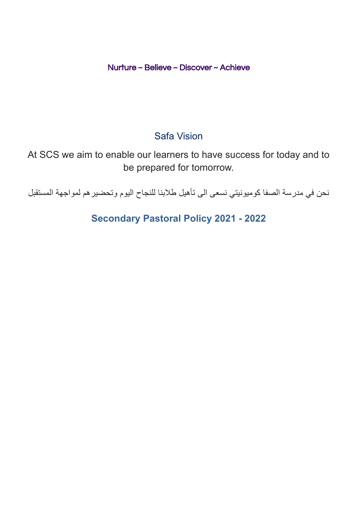Nurture ~ Believe ~ Discover ~ Achieve

# Safa Vision

At SCS we aim to enable our learners to have success for today and to be prepared for tomorrow.

نحن في مدرسة الصفا كوميونيتي نسعى الى تأهيل طالبنا للنجاح اليوم وتحضيرهم لمواجهة المستقبل

**Secondary Pastoral Policy 2021 - 2022**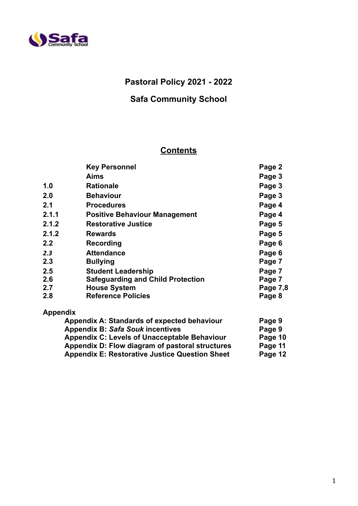

## **Pastoral Policy 2021 - 2022**

## **Safa Community School**

## **Contents**

|                                             | <b>Key Personnel</b>                     | Page 2 |
|---------------------------------------------|------------------------------------------|--------|
|                                             | <b>Aims</b>                              | Page 3 |
| 1.0                                         | <b>Rationale</b>                         | Page 3 |
| 2.0                                         | <b>Behaviour</b>                         | Page 3 |
| 2.1                                         | <b>Procedures</b>                        | Page 4 |
| 2.1.1                                       | <b>Positive Behaviour Management</b>     | Page 4 |
| 2.1.2                                       | <b>Restorative Justice</b>               | Page 5 |
| 2.1.2                                       | <b>Rewards</b>                           | Page 5 |
| 2.2                                         | Recording                                | Page 6 |
| 2.3                                         | <b>Attendance</b>                        | Page 6 |
| 2.3                                         | <b>Bullying</b>                          | Page 7 |
| 2.5                                         | <b>Student Leadership</b>                | Page 7 |
| 2.6                                         | <b>Safeguarding and Child Protection</b> | Page 7 |
| 2.7                                         | <b>House System</b>                      |        |
| 2.8                                         | <b>Reference Policies</b>                | Page 8 |
| <b>Appendix</b>                             |                                          |        |
| Appendix A: Standards of expected behaviour |                                          | Page 9 |
|                                             | <b>Appendix B: Safa Souk incentives</b>  | Page 9 |
|                                             |                                          |        |

|                                                     | - - - - - |
|-----------------------------------------------------|-----------|
| <b>Appendix C: Levels of Unacceptable Behaviour</b> | Page 10   |
| Appendix D: Flow diagram of pastoral structures     | Page 11   |

**Appendix E: Restorative Justice Question Sheet Page 12**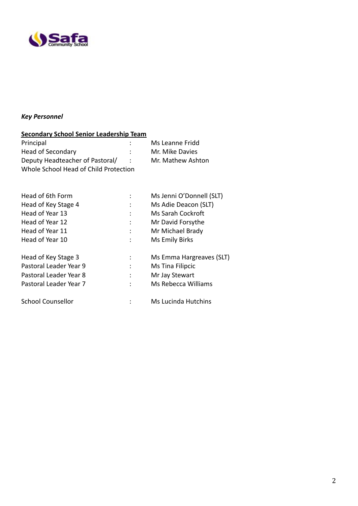

## *Key Personnel*

| <b>Secondary School Senior Leadership Team</b> |  |                            |  |
|------------------------------------------------|--|----------------------------|--|
| Principal                                      |  | Ms Leanne Fridd            |  |
| <b>Head of Secondary</b>                       |  | Mr. Mike Davies            |  |
| Deputy Headteacher of Pastoral/                |  | Mr. Mathew Ashton          |  |
| Whole School Head of Child Protection          |  |                            |  |
| Head of 6th Form                               |  | Ms Jenni O'Donnell (SLT)   |  |
| Head of Key Stage 4                            |  | Ms Adie Deacon (SLT)       |  |
| Head of Year 13                                |  | <b>Ms Sarah Cockroft</b>   |  |
| Head of Year 12                                |  | Mr David Forsythe          |  |
| Head of Year 11                                |  | Mr Michael Brady           |  |
| Head of Year 10                                |  | Ms Emily Birks             |  |
| Head of Key Stage 3                            |  | Ms Emma Hargreaves (SLT)   |  |
| Pastoral Leader Year 9                         |  | Ms Tina Filipcic           |  |
| Pastoral Leader Year 8                         |  | Mr Jay Stewart             |  |
| Pastoral Leader Year 7                         |  | Ms Rebecca Williams        |  |
| <b>School Counsellor</b>                       |  | <b>Ms Lucinda Hutchins</b> |  |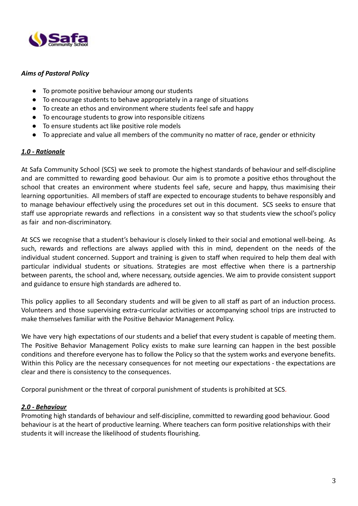

### *Aims of Pastoral Policy*

- To promote positive behaviour among our students
- To encourage students to behave appropriately in a range of situations
- To create an ethos and environment where students feel safe and happy
- To encourage students to grow into responsible citizens
- To ensure students act like positive role models
- To appreciate and value all members of the community no matter of race, gender or ethnicity

### *1.0 - Rationale*

At Safa Community School (SCS) we seek to promote the highest standards of behaviour and self-discipline and are committed to rewarding good behaviour. Our aim is to promote a positive ethos throughout the school that creates an environment where students feel safe, secure and happy, thus maximising their learning opportunities. All members of staff are expected to encourage students to behave responsibly and to manage behaviour effectively using the procedures set out in this document. SCS seeks to ensure that staff use appropriate rewards and reflections in a consistent way so that students view the school's policy as fair and non-discriminatory.

At SCS we recognise that a student's behaviour is closely linked to their social and emotional well-being. As such, rewards and reflections are always applied with this in mind, dependent on the needs of the individual student concerned. Support and training is given to staff when required to help them deal with particular individual students or situations. Strategies are most effective when there is a partnership between parents, the school and, where necessary, outside agencies. We aim to provide consistent support and guidance to ensure high standards are adhered to.

This policy applies to all Secondary students and will be given to all staff as part of an induction process. Volunteers and those supervising extra-curricular activities or accompanying school trips are instructed to make themselves familiar with the Positive Behavior Management Policy.

We have very high expectations of our students and a belief that every student is capable of meeting them. The Positive Behavior Management Policy exists to make sure learning can happen in the best possible conditions and therefore everyone has to follow the Policy so that the system works and everyone benefits. Within this Policy are the necessary consequences for not meeting our expectations - the expectations are clear and there is consistency to the consequences.

Corporal punishment or the threat of corporal punishment of students is prohibited at SCS.

#### *2.0 - Behaviour*

Promoting high standards of behaviour and self-discipline, committed to rewarding good behaviour. Good behaviour is at the heart of productive learning. Where teachers can form positive relationships with their students it will increase the likelihood of students flourishing.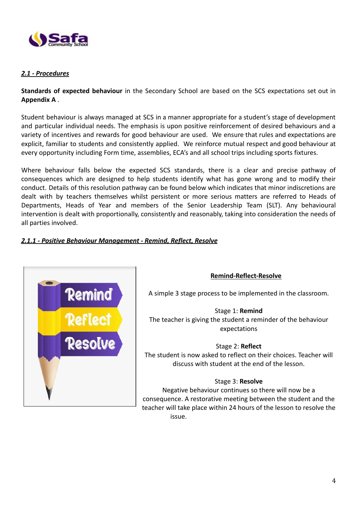

### *2.1 - Procedures*

**Standards of expected behaviour** in the Secondary School are based on the SCS expectations set out in **Appendix A** .

Student behaviour is always managed at SCS in a manner appropriate for a student's stage of development and particular individual needs. The emphasis is upon positive reinforcement of desired behaviours and a variety of incentives and rewards for good behaviour are used. We ensure that rules and expectations are explicit, familiar to students and consistently applied. We reinforce mutual respect and good behaviour at every opportunity including Form time, assemblies, ECA's and all school trips including sports fixtures.

Where behaviour falls below the expected SCS standards, there is a clear and precise pathway of consequences which are designed to help students identify what has gone wrong and to modify their conduct. Details of this resolution pathway can be found below which indicates that minor indiscretions are dealt with by teachers themselves whilst persistent or more serious matters are referred to Heads of Departments, Heads of Year and members of the Senior Leadership Team (SLT). Any behavioural intervention is dealt with proportionally, consistently and reasonably, taking into consideration the needs of all parties involved.

## *2.1.1 - Positive Behaviour Management - Remind, Reflect, Resolve*



#### **Remind-Reflect-Resolve**

A simple 3 stage process to be implemented in the classroom.

Stage 1: **Remind** The teacher is giving the student a reminder of the behaviour expectations

Stage 2: **Reflect** The student is now asked to reflect on their choices. Teacher will discuss with student at the end of the lesson.

#### Stage 3: **Resolve**

Negative behaviour continues so there will now be a consequence. A restorative meeting between the student and the teacher will take place within 24 hours of the lesson to resolve the issue.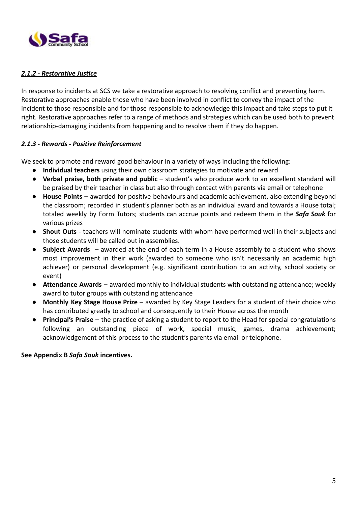

## *2.1.2 - Restorative Justice*

In response to incidents at SCS we take a restorative approach to resolving conflict and preventing harm. Restorative approaches enable those who have been involved in conflict to convey the impact of the incident to those responsible and for those responsible to acknowledge this impact and take steps to put it right. Restorative approaches refer to a range of methods and strategies which can be used both to prevent relationship-damaging incidents from happening and to resolve them if they do happen.

## *2.1.3 - Rewards - Positive Reinforcement*

We seek to promote and reward good behaviour in a variety of ways including the following:

- **Individual teachers** using their own classroom strategies to motivate and reward
- **● Verbal praise, both private and public** student's who produce work to an excellent standard will be praised by their teacher in class but also through contact with parents via email or telephone
- **House Points** awarded for positive behaviours and academic achievement, also extending beyond the classroom; recorded in student's planner both as an individual award and towards a House total; totaled weekly by Form Tutors; students can accrue points and redeem them in the *Safa Souk* for various prizes
- **Shout Outs** teachers will nominate students with whom have performed well in their subjects and those students will be called out in assemblies.
- **Subject Awards** awarded at the end of each term in a House assembly to a student who shows most improvement in their work (awarded to someone who isn't necessarily an academic high achiever) or personal development (e.g. significant contribution to an activity, school society or event)
- **● Attendance Awards** awarded monthly to individual students with outstanding attendance; weekly award to tutor groups with outstanding attendance
- **● Monthly Key Stage House Prize** awarded by Key Stage Leaders for a student of their choice who has contributed greatly to school and consequently to their House across the month
- **● Principal's Praise** the practice of asking a student to report to the Head for special congratulations following an outstanding piece of work, special music, games, drama achievement; acknowledgement of this process to the student's parents via email or telephone.

#### **See Appendix B** *Safa Souk* **incentives.**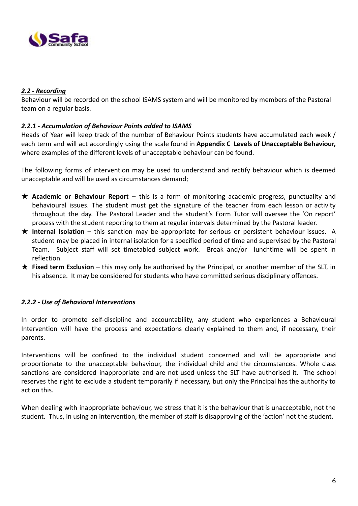

### *2.2 - Recording*

Behaviour will be recorded on the school ISAMS system and will be monitored by members of the Pastoral team on a regular basis.

### *2.2.1 - Accumulation of Behaviour Points added to ISAMS*

Heads of Year will keep track of the number of Behaviour Points students have accumulated each week / each term and will act accordingly using the scale found in **Appendix C Levels of Unacceptable Behaviour,** where examples of the different levels of unacceptable behaviour can be found.

The following forms of intervention may be used to understand and rectify behaviour which is deemed unacceptable and will be used as circumstances demand;

- ★ **Academic or Behaviour Report** this is a form of monitoring academic progress, punctuality and behavioural issues. The student must get the signature of the teacher from each lesson or activity throughout the day. The Pastoral Leader and the student's Form Tutor will oversee the 'On report' process with the student reporting to them at regular intervals determined by the Pastoral leader.
- ★ **Internal Isolation** this sanction may be appropriate for serious or persistent behaviour issues. A student may be placed in internal isolation for a specified period of time and supervised by the Pastoral Team. Subject staff will set timetabled subject work. Break and/or lunchtime will be spent in reflection.
- ★ **Fixed term Exclusion** this may only be authorised by the Principal, or another member of the SLT, in his absence. It may be considered for students who have committed serious disciplinary offences.

#### *2.2.2 - Use of Behavioral Interventions*

In order to promote self-discipline and accountability, any student who experiences a Behavioural Intervention will have the process and expectations clearly explained to them and, if necessary, their parents.

Interventions will be confined to the individual student concerned and will be appropriate and proportionate to the unacceptable behaviour, the individual child and the circumstances. Whole class sanctions are considered inappropriate and are not used unless the SLT have authorised it. The school reserves the right to exclude a student temporarily if necessary, but only the Principal has the authority to action this.

When dealing with inappropriate behaviour, we stress that it is the behaviour that is unacceptable, not the student. Thus, in using an intervention, the member of staff is disapproving of the 'action' not the student.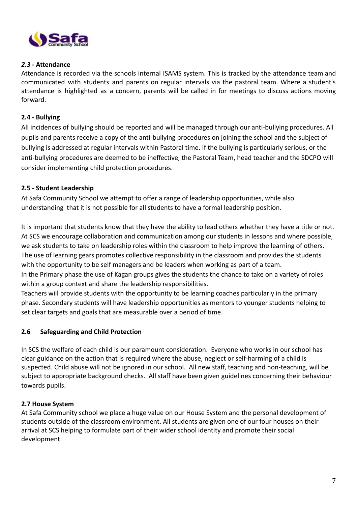

### *2.3* **- Attendance**

Attendance is recorded via the schools internal ISAMS system. This is tracked by the attendance team and communicated with students and parents on regular intervals via the pastoral team. Where a student's attendance is highlighted as a concern, parents will be called in for meetings to discuss actions moving forward.

### **2.4 - Bullying**

All incidences of bullying should be reported and will be managed through our anti-bullying procedures. All pupils and parents receive a copy of the anti-bullying procedures on joining the school and the subject of bullying is addressed at regular intervals within Pastoral time. If the bullying is particularly serious, or the anti-bullying procedures are deemed to be ineffective, the Pastoral Team, head teacher and the SDCPO will consider implementing child protection procedures.

### **2.5 - Student Leadership**

At Safa Community School we attempt to offer a range of leadership opportunities, while also understanding that it is not possible for all students to have a formal leadership position.

It is important that students know that they have the ability to lead others whether they have a title or not. At SCS we encourage collaboration and communication among our students in lessons and where possible, we ask students to take on leadership roles within the classroom to help improve the learning of others. The use of learning gears promotes collective responsibility in the classroom and provides the students with the opportunity to be self managers and be leaders when working as part of a team. In the Primary phase the use of Kagan groups gives the students the chance to take on a variety of roles within a group context and share the leadership responsibilities.

Teachers will provide students with the opportunity to be learning coaches particularly in the primary phase. Secondary students will have leadership opportunities as mentors to younger students helping to set clear targets and goals that are measurable over a period of time.

#### **2.6 Safeguarding and Child Protection**

In SCS the welfare of each child is our paramount consideration. Everyone who works in our school has clear guidance on the action that is required where the abuse, neglect or self-harming of a child is suspected. Child abuse will not be ignored in our school. All new staff, teaching and non-teaching, will be subject to appropriate background checks. All staff have been given guidelines concerning their behaviour towards pupils.

#### **2.7 House System**

At Safa Community school we place a huge value on our House System and the personal development of students outside of the classroom environment. All students are given one of our four houses on their arrival at SCS helping to formulate part of their wider school identity and promote their social development.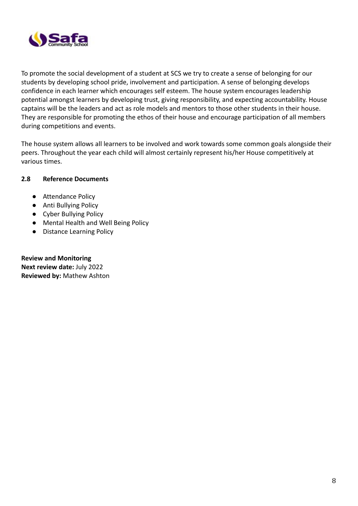

To promote the social development of a student at SCS we try to create a sense of belonging for our students by developing school pride, involvement and participation. A sense of belonging develops confidence in each learner which encourages self esteem. The house system encourages leadership potential amongst learners by developing trust, giving responsibility, and expecting accountability. House captains will be the leaders and act as role models and mentors to those other students in their house. They are responsible for promoting the ethos of their house and encourage participation of all members during competitions and events.

The house system allows all learners to be involved and work towards some common goals alongside their peers. Throughout the year each child will almost certainly represent his/her House competitively at various times.

## **2.8 Reference Documents**

- Attendance Policy
- Anti Bullying Policy
- Cyber Bullying Policy
- Mental Health and Well Being Policy
- Distance Learning Policy

**Review and Monitoring Next review date:** July 2022 **Reviewed by:** Mathew Ashton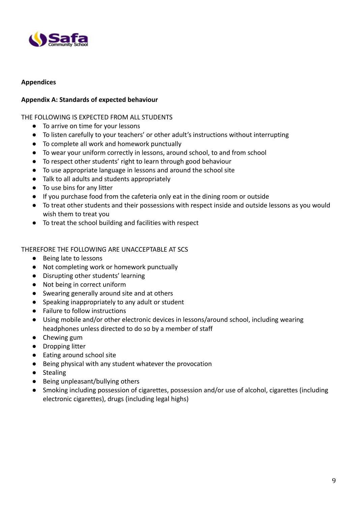

### **Appendices**

### **Appendix A: Standards of expected behaviour**

THE FOLLOWING IS EXPECTED FROM ALL STUDENTS

- To arrive on time for your lessons
- To listen carefully to your teachers' or other adult's instructions without interrupting
- To complete all work and homework punctually
- To wear your uniform correctly in lessons, around school, to and from school
- To respect other students' right to learn through good behaviour
- To use appropriate language in lessons and around the school site
- Talk to all adults and students appropriately
- To use bins for any litter
- If you purchase food from the cafeteria only eat in the dining room or outside
- To treat other students and their possessions with respect inside and outside lessons as you would wish them to treat you
- To treat the school building and facilities with respect

#### THEREFORE THE FOLLOWING ARE UNACCEPTABLE AT SCS

- Being late to lessons
- Not completing work or homework punctually
- Disrupting other students' learning
- Not being in correct uniform
- Swearing generally around site and at others
- Speaking inappropriately to any adult or student
- Failure to follow instructions
- Using mobile and/or other electronic devices in lessons/around school, including wearing headphones unless directed to do so by a member of staff
- Chewing gum
- Dropping litter
- Eating around school site
- Being physical with any student whatever the provocation
- Stealing
- Being unpleasant/bullying others
- Smoking including possession of cigarettes, possession and/or use of alcohol, cigarettes (including electronic cigarettes), drugs (including legal highs)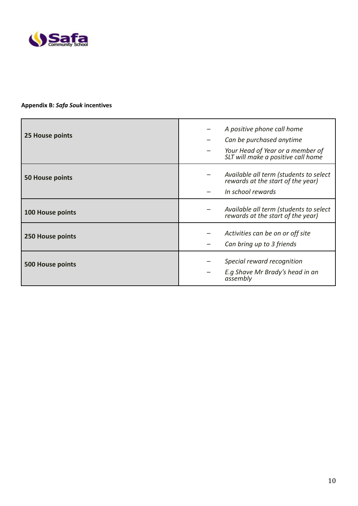

## **Appendix B:** *Safa Souk* **incentives**

| 25 House points         | A positive phone call home<br>Can be purchased anytime<br>Your Head of Year or a member of<br>SLT will make a positive call home |
|-------------------------|----------------------------------------------------------------------------------------------------------------------------------|
| <b>50 House points</b>  | Available all term (students to select<br>rewards at the start of the year)<br>In school rewards                                 |
| <b>100 House points</b> | Available all term (students to select<br>rewards at the start of the year)                                                      |
| 250 House points        | Activities can be on or off site<br>Can bring up to 3 friends                                                                    |
| <b>500 House points</b> | Special reward recognition<br>E.g Shave Mr Brady's head in an<br>assembly                                                        |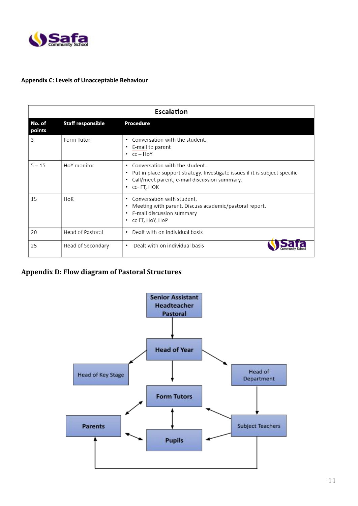

#### **Appendix C: Levels of Unacceptable Behaviour**

| Escalation       |                          |                                                                                                                                                                                              |  |
|------------------|--------------------------|----------------------------------------------------------------------------------------------------------------------------------------------------------------------------------------------|--|
| No. of<br>points | <b>Staff responsible</b> | <b>Procedure</b>                                                                                                                                                                             |  |
| 3                | Form Tutor               | • Conversation with the student.<br>• E-mail to parent<br>$\cdot$ $cc - HoY$                                                                                                                 |  |
| $5 - 15$         | HoY monitor              | Conversation with the student.<br>٠<br>• Put in place support strategy. Investigate issues if it is subject specific<br>• Call/meet parent, e-mail discussion summary.<br>$\cdot$ cc-FT, HOK |  |
| 15               | HoK                      | Conversation with student.<br>٠<br>Meeting with parent. Discuss academic/pastoral report.<br>• E-mail discussion summary<br>• CC FT, HOY, HOP                                                |  |
| 20               | <b>Head of Pastoral</b>  | • Dealt with on individual basis                                                                                                                                                             |  |
| 25               | Head of Secondary        | Dealt with on individual basis<br>$\bullet$                                                                                                                                                  |  |

## **Appendix D: Flow diagram of Pastoral Structures**